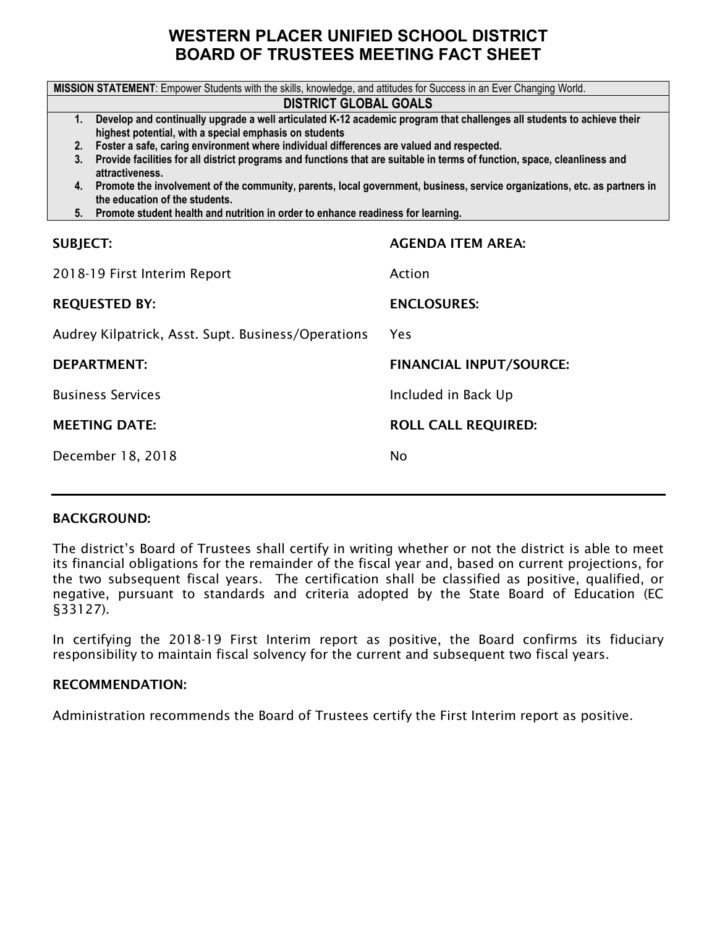## **WESTERN PLACER UNIFIED SCHOOL DISTRICT BOARD OF TRUSTEES MEETING FACT SHEET**

| MISSION STATEMENT: Empower Students with the skills, knowledge, and attitudes for Success in an Ever Changing World.                                                                   |                                                                                          |  |  |  |  |  |  |
|----------------------------------------------------------------------------------------------------------------------------------------------------------------------------------------|------------------------------------------------------------------------------------------|--|--|--|--|--|--|
| <b>DISTRICT GLOBAL GOALS</b>                                                                                                                                                           |                                                                                          |  |  |  |  |  |  |
| Develop and continually upgrade a well articulated K-12 academic program that challenges all students to achieve their<br>1.<br>highest potential, with a special emphasis on students |                                                                                          |  |  |  |  |  |  |
| 2.                                                                                                                                                                                     | Foster a safe, caring environment where individual differences are valued and respected. |  |  |  |  |  |  |
| Provide facilities for all district programs and functions that are suitable in terms of function, space, cleanliness and<br>3.<br>attractiveness.                                     |                                                                                          |  |  |  |  |  |  |
| 4. Promote the involvement of the community, parents, local government, business, service organizations, etc. as partners in<br>the education of the students.                         |                                                                                          |  |  |  |  |  |  |
| 5. Promote student health and nutrition in order to enhance readiness for learning.                                                                                                    |                                                                                          |  |  |  |  |  |  |
| <b>AGENDA ITEM AREA:</b><br><b>SUBJECT:</b>                                                                                                                                            |                                                                                          |  |  |  |  |  |  |
|                                                                                                                                                                                        |                                                                                          |  |  |  |  |  |  |
| 2018-19 First Interim Report                                                                                                                                                           | Action                                                                                   |  |  |  |  |  |  |
| <b>REQUESTED BY:</b>                                                                                                                                                                   | <b>ENCLOSURES:</b>                                                                       |  |  |  |  |  |  |
| Audrey Kilpatrick, Asst. Supt. Business/Operations                                                                                                                                     | Yes                                                                                      |  |  |  |  |  |  |
| <b>DEPARTMENT:</b>                                                                                                                                                                     | <b>FINANCIAL INPUT/SOURCE:</b>                                                           |  |  |  |  |  |  |
| <b>Business Services</b>                                                                                                                                                               | Included in Back Up                                                                      |  |  |  |  |  |  |
| <b>MEETING DATE:</b><br><b>ROLL CALL REQUIRED:</b>                                                                                                                                     |                                                                                          |  |  |  |  |  |  |
| December 18, 2018                                                                                                                                                                      | <b>No</b>                                                                                |  |  |  |  |  |  |
|                                                                                                                                                                                        |                                                                                          |  |  |  |  |  |  |

#### BACKGROUND:

The district's Board of Trustees shall certify in writing whether or not the district is able to meet its financial obligations for the remainder of the fiscal year and, based on current projections, for the two subsequent fiscal years. The certification shall be classified as positive, qualified, or negative, pursuant to standards and criteria adopted by the State Board of Education (EC §33127).

In certifying the 2018-19 First Interim report as positive, the Board confirms its fiduciary responsibility to maintain fiscal solvency for the current and subsequent two fiscal years.

#### RECOMMENDATION:

Administration recommends the Board of Trustees certify the First Interim report as positive.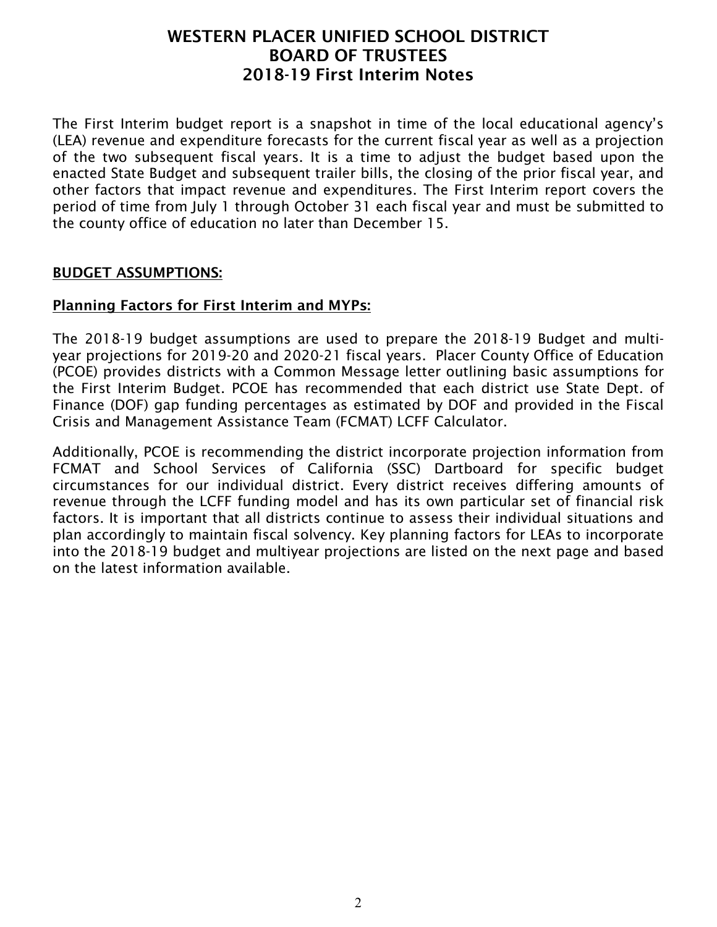The First Interim budget report is a snapshot in time of the local educational agency's (LEA) revenue and expenditure forecasts for the current fiscal year as well as a projection of the two subsequent fiscal years. It is a time to adjust the budget based upon the enacted State Budget and subsequent trailer bills, the closing of the prior fiscal year, and other factors that impact revenue and expenditures. The First Interim report covers the period of time from July 1 through October 31 each fiscal year and must be submitted to the county office of education no later than December 15.

#### BUDGET ASSUMPTIONS:

#### Planning Factors for First Interim and MYPs:

The 2018-19 budget assumptions are used to prepare the 2018-19 Budget and multiyear projections for 2019-20 and 2020-21 fiscal years. Placer County Office of Education (PCOE) provides districts with a Common Message letter outlining basic assumptions for the First Interim Budget. PCOE has recommended that each district use State Dept. of Finance (DOF) gap funding percentages as estimated by DOF and provided in the Fiscal Crisis and Management Assistance Team (FCMAT) LCFF Calculator.

Additionally, PCOE is recommending the district incorporate projection information from FCMAT and School Services of California (SSC) Dartboard for specific budget circumstances for our individual district. Every district receives differing amounts of revenue through the LCFF funding model and has its own particular set of financial risk factors. It is important that all districts continue to assess their individual situations and plan accordingly to maintain fiscal solvency. Key planning factors for LEAs to incorporate into the 2018-19 budget and multiyear projections are listed on the next page and based on the latest information available.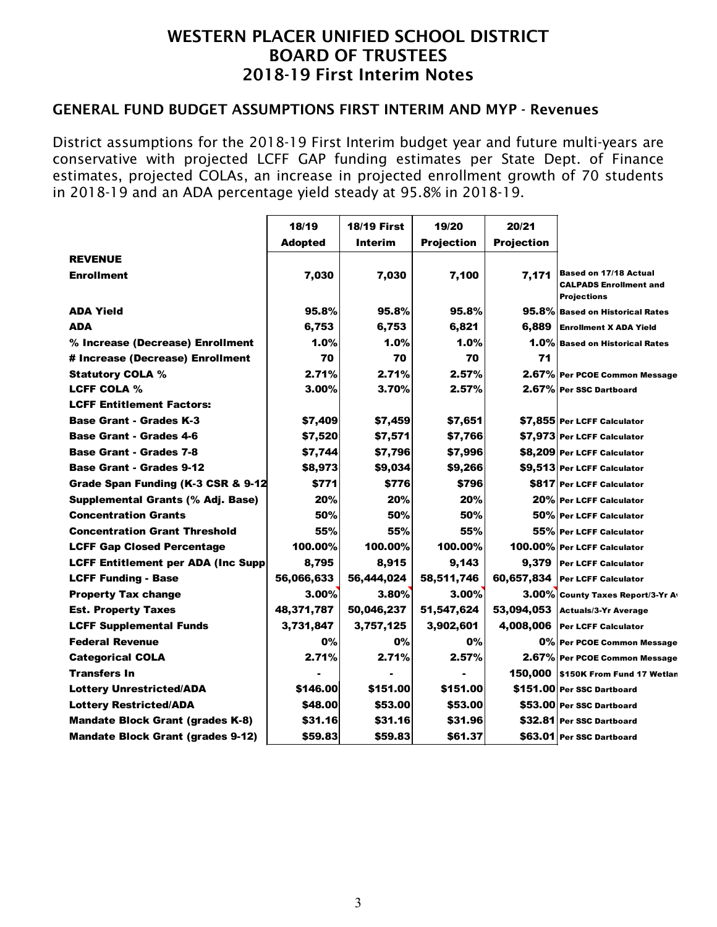#### GENERAL FUND BUDGET ASSUMPTIONS FIRST INTERIM AND MYP - Revenues

District assumptions for the 2018-19 First Interim budget year and future multi-years are conservative with projected LCFF GAP funding estimates per State Dept. of Finance estimates, projected COLAs, an increase in projected enrollment growth of 70 students in 2018-19 and an ADA percentage yield steady at 95.8% in 2018-19.

|                                            | 18/19          | <b>18/19 First</b> | 19/20             | 20/21             |                                                                                     |
|--------------------------------------------|----------------|--------------------|-------------------|-------------------|-------------------------------------------------------------------------------------|
|                                            | <b>Adopted</b> | Interim            | <b>Projection</b> | <b>Projection</b> |                                                                                     |
| <b>REVENUE</b>                             |                |                    |                   |                   |                                                                                     |
| <b>Enrollment</b>                          | 7,030          | 7,030              | 7,100             | 7.171             | <b>Based on 17/18 Actual</b><br><b>CALPADS Enrollment and</b><br><b>Projections</b> |
| <b>ADA Yield</b>                           | 95.8%          | 95.8%              | 95.8%             |                   | 95.8% Based on Historical Rates                                                     |
| <b>ADA</b>                                 | 6,753          | 6,753              | 6,821             | 6,889             | <b>Enrollment X ADA Yield</b>                                                       |
| % Increase (Decrease) Enrollment           | 1.0%           | $1.0\%$            | 1.0%              |                   | 1.0% Based on Historical Rates                                                      |
| # Increase (Decrease) Enrollment           | 70             | 70                 | 70                | 71                |                                                                                     |
| <b>Statutory COLA %</b>                    | 2.71%          | 2.71%              | 2.57%             |                   | 2.67% Per PCOE Common Message                                                       |
| <b>LCFF COLA %</b>                         | 3.00%          | 3.70%              | 2.57%             |                   | 2.67% Per SSC Dartboard                                                             |
| <b>LCFF Entitlement Factors:</b>           |                |                    |                   |                   |                                                                                     |
| <b>Base Grant - Grades K-3</b>             | \$7,409        | \$7,459            | \$7,651           |                   | \$7,855 Per LCFF Calculator                                                         |
| <b>Base Grant - Grades 4-6</b>             | \$7,520        | \$7,571            | \$7,766           |                   | \$7,973 Per LCFF Calculator                                                         |
| <b>Base Grant - Grades 7-8</b>             | \$7,744        | \$7,796            | \$7,996           |                   | \$8,209 Per LCFF Calculator                                                         |
| <b>Base Grant - Grades 9-12</b>            | \$8,973        | \$9,034            | \$9,266           |                   | \$9,513 Per LCFF Calculator                                                         |
| Grade Span Funding (K-3 CSR & 9-12         | \$771          | \$776              | \$796             |                   | \$817 Per LCFF Calculator                                                           |
| Supplemental Grants (% Adj. Base)          | 20%            | 20%                | 20%               |                   | 20% Per LCFF Calculator                                                             |
| <b>Concentration Grants</b>                | 50%            | 50%                | 50%               |                   | 50% Per LCFF Calculator                                                             |
| <b>Concentration Grant Threshold</b>       | 55%            | 55%                | 55%               |                   | 55% Per LCFF Calculator                                                             |
| <b>LCFF Gap Closed Percentage</b>          | 100.00%        | 100.00%            | 100.00%           |                   | 100.00% Per LCFF Calculator                                                         |
| <b>LCFF Entitlement per ADA (Inc Supp)</b> | 8,795          | 8.915              | 9,143             |                   | 9.379 Per LCFF Calculator                                                           |
| <b>LCFF Funding - Base</b>                 | 56,066,633     | 56,444,024         | 58,511,746        |                   | 60,657,834 Per LCFF Calculator                                                      |
| <b>Property Tax change</b>                 | 3.00%          | 3.80%              | $3.00\%$          |                   | 3.00% County Taxes Report/3-Yr Av                                                   |
| <b>Est. Property Taxes</b>                 | 48,371,787     | 50,046,237         | 51,547,624        |                   | 53,094,053 Actuals/3-Yr Average                                                     |
| <b>LCFF Supplemental Funds</b>             | 3,731,847      | 3,757,125          | 3,902,601         |                   | 4,008,006 Per LCFF Calculator                                                       |
| <b>Federal Revenue</b>                     | 0%             | 0%                 | 0%                |                   | 0% Per PCOE Common Message                                                          |
| <b>Categorical COLA</b>                    | 2.71%          | 2.71%              | 2.57%             |                   | 2.67% Per PCOE Common Message                                                       |
| <b>Transfers In</b>                        |                |                    |                   |                   | 150,000 S150K From Fund 17 Wetlan                                                   |
| <b>Lottery Unrestricted/ADA</b>            | \$146.00       | \$151.00           | \$151.00          |                   | \$151.00 Per SSC Dartboard                                                          |
| <b>Lottery Restricted/ADA</b>              | \$48.00        | \$53.00            | \$53.00           |                   | \$53.00 Per SSC Dartboard                                                           |
| <b>Mandate Block Grant (grades K-8)</b>    | \$31.16        | \$31.16            | \$31.96           |                   | \$32.81 Per SSC Dartboard                                                           |
| <b>Mandate Block Grant (grades 9-12)</b>   | \$59.83        | \$59.83            | \$61.37           |                   | \$63.01 Per SSC Dartboard                                                           |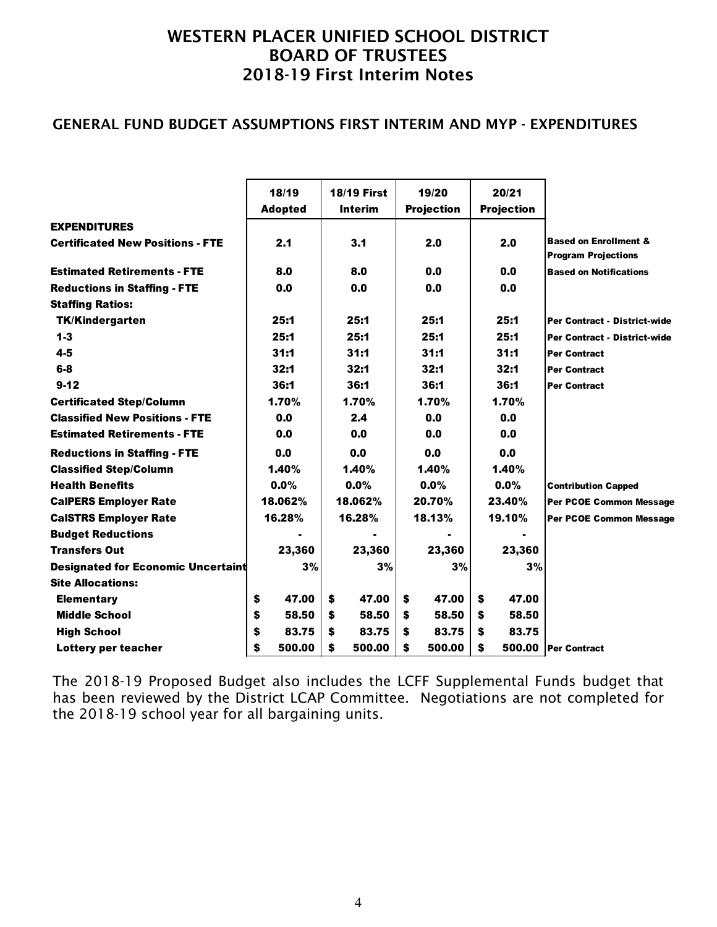#### GENERAL FUND BUDGET ASSUMPTIONS FIRST INTERIM AND MYP - EXPENDITURES

|                                           | 18/19          |    |                                      |   |                            |    |                            |                                                                |
|-------------------------------------------|----------------|----|--------------------------------------|---|----------------------------|----|----------------------------|----------------------------------------------------------------|
|                                           | <b>Adopted</b> |    | <b>18/19 First</b><br><b>Interim</b> |   | 19/20<br><b>Projection</b> |    | 20/21<br><b>Projection</b> |                                                                |
| <b>EXPENDITURES</b>                       |                |    |                                      |   |                            |    |                            |                                                                |
| <b>Certificated New Positions - FTE</b>   | 2.1            |    | 3.1                                  |   | 2.0                        |    | 2.0                        | <b>Based on Enrollment &amp;</b><br><b>Program Projections</b> |
| <b>Estimated Retirements - FTE</b>        | 8.0            |    | 8.0                                  |   | 0.0                        |    | 0.0                        | <b>Based on Notifications</b>                                  |
| <b>Reductions in Staffing - FTE</b>       | 0.0            |    | 0.0                                  |   | 0.0                        |    | 0.0                        |                                                                |
| <b>Staffing Ratios:</b>                   |                |    |                                      |   |                            |    |                            |                                                                |
| <b>TK/Kindergarten</b>                    | 25:1           |    | 25:1                                 |   | 25:1                       |    | 25:1                       | Per Contract - District-wide                                   |
| $1 - 3$                                   | 25:1           |    | 25:1                                 |   | 25:1                       |    | 25:1                       | Per Contract - District-wide                                   |
| $4 - 5$                                   | 31:1           |    | 31:1                                 |   | 31:1                       |    | 31:1                       | <b>Per Contract</b>                                            |
| $6-8$                                     | 32:1           |    | 32:1                                 |   | 32:1                       |    | 32:1                       | <b>Per Contract</b>                                            |
| $9 - 12$                                  | 36:1           |    | 36:1                                 |   | 36:1                       |    | 36:1                       | <b>Per Contract</b>                                            |
| <b>Certificated Step/Column</b>           | 1.70%          |    | 1.70%                                |   | 1.70%                      |    | 1.70%                      |                                                                |
| <b>Classified New Positions - FTE</b>     | 0.0            |    | 2.4                                  |   | 0.0                        |    | 0.0                        |                                                                |
| <b>Estimated Retirements - FTE</b>        | 0.0            |    | 0.0                                  |   | 0.0                        |    | 0.0                        |                                                                |
| <b>Reductions in Staffing - FTE</b>       | 0.0            |    | 0.0                                  |   | 0.0                        |    | 0.0                        |                                                                |
| <b>Classified Step/Column</b>             | 1.40%          |    | 1.40%                                |   | 1.40%                      |    | 1.40%                      |                                                                |
| <b>Health Benefits</b>                    | $0.0\%$        |    | $0.0\%$                              |   | $0.0\%$                    |    | $0.0\%$                    | <b>Contribution Capped</b>                                     |
| <b>CalPERS Employer Rate</b>              | 18.062%        |    | 18.062%                              |   | 20.70%                     |    | 23.40%                     | Per PCOE Common Message                                        |
| <b>CalSTRS Employer Rate</b>              | 16.28%         |    | 16.28%                               |   | 18.13%                     |    | 19.10%                     | Per PCOE Common Message                                        |
| <b>Budget Reductions</b>                  |                |    |                                      |   |                            |    |                            |                                                                |
| <b>Transfers Out</b>                      | 23,360         |    | 23,360                               |   | 23,360                     |    | 23,360                     |                                                                |
| <b>Designated for Economic Uncertaint</b> | 3%             |    | 3%                                   |   | 3%                         |    | 3%                         |                                                                |
| <b>Site Allocations:</b>                  |                |    |                                      |   |                            |    |                            |                                                                |
| <b>Elementary</b>                         | \$<br>47.00    | \$ | 47.00                                | S | 47.00                      | \$ | 47.00                      |                                                                |
| <b>Middle School</b>                      | \$<br>58.50    | \$ | 58.50                                | S | 58.50                      | \$ | 58.50                      |                                                                |
| <b>High School</b>                        | \$<br>83.75    | \$ | 83.75                                | S | 83.75                      | \$ | 83.75                      |                                                                |
| Lottery per teacher                       | \$<br>500.00   | S  | 500.00                               | S | 500.00                     | S  |                            | 500.00 Per Contract                                            |

The 2018-19 Proposed Budget also includes the LCFF Supplemental Funds budget that has been reviewed by the District LCAP Committee. Negotiations are not completed for the 2018-19 school year for all bargaining units.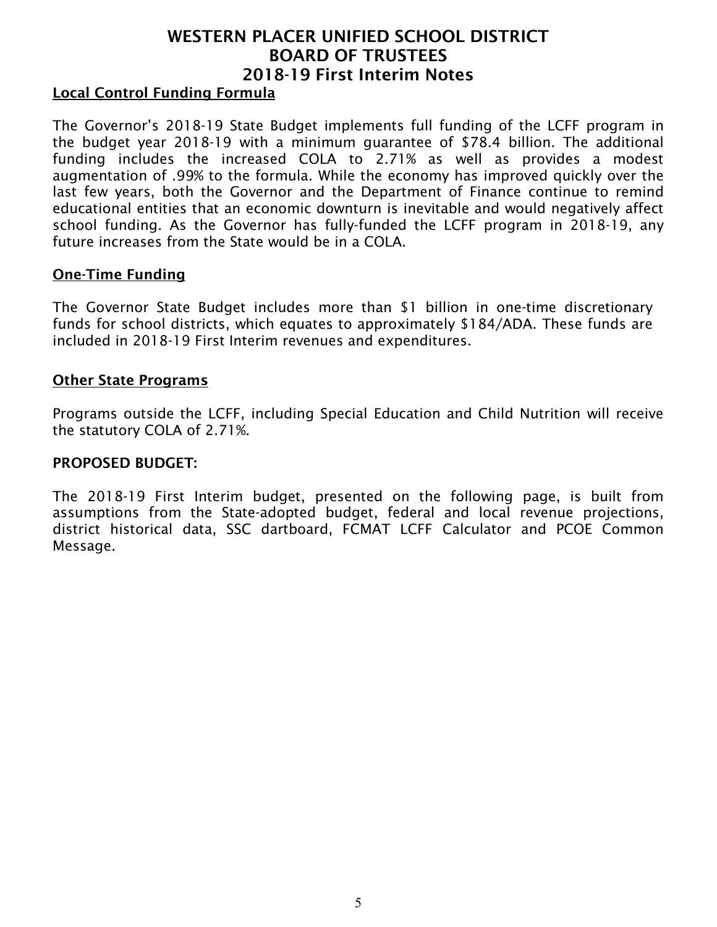#### Local Control Funding Formula

The Governor's 2018-19 State Budget implements full funding of the LCFF program in the budget year 2018-19 with a minimum guarantee of \$78.4 billion. The additional funding includes the increased COLA to 2.71% as well as provides a modest augmentation of .99% to the formula. While the economy has improved quickly over the last few years, both the Governor and the Department of Finance continue to remind educational entities that an economic downturn is inevitable and would negatively affect school funding. As the Governor has fully-funded the LCFF program in 2018-19, any future increases from the State would be in a COLA.

#### One-Time Funding

The Governor State Budget includes more than \$1 billion in one-time discretionary funds for school districts, which equates to approximately \$184/ADA. These funds are included in 2018-19 First Interim revenues and expenditures.

#### Other State Programs

Programs outside the LCFF, including Special Education and Child Nutrition will receive the statutory COLA of 2.71%.

#### PROPOSED BUDGET:

The 2018-19 First Interim budget, presented on the following page, is built from assumptions from the State-adopted budget, federal and local revenue projections, district historical data, SSC dartboard, FCMAT LCFF Calculator and PCOE Common Message.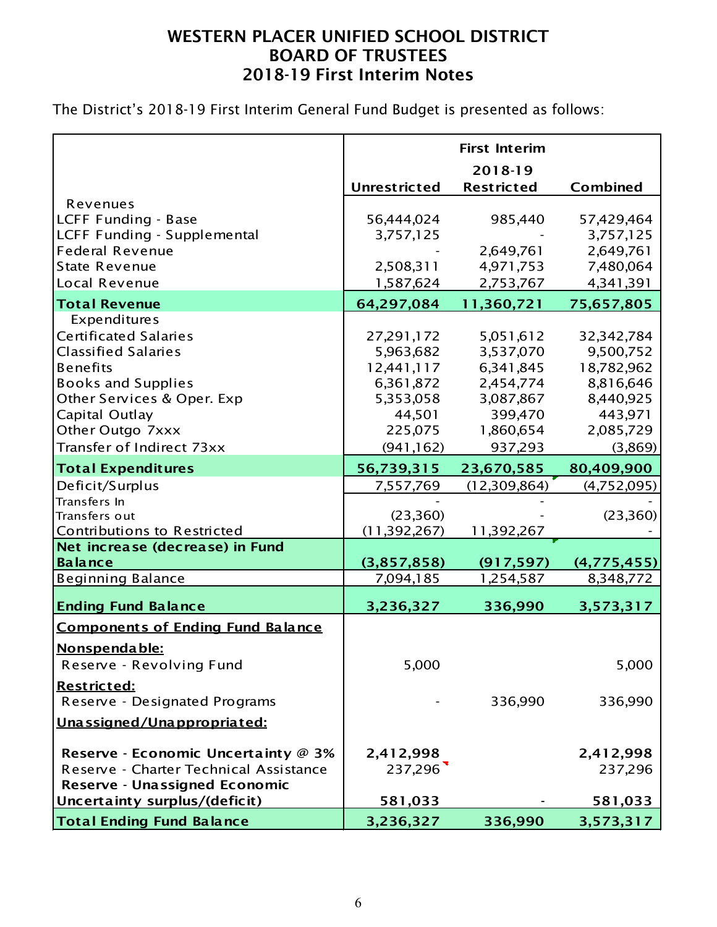The District's 2018-19 First Interim General Fund Budget is presented as follows:

|                                                                |                     | <b>First Interim</b> |                 |
|----------------------------------------------------------------|---------------------|----------------------|-----------------|
|                                                                |                     | 2018-19              |                 |
|                                                                | <b>Unrestricted</b> | <b>Restricted</b>    | <b>Combined</b> |
| Revenues                                                       |                     |                      |                 |
| LCFF Funding - Base                                            | 56,444,024          | 985,440              | 57,429,464      |
| LCFF Funding - Supplemental                                    | 3,757,125           |                      | 3,757,125       |
| <b>Federal Revenue</b>                                         |                     | 2,649,761            | 2,649,761       |
| <b>State Revenue</b>                                           | 2,508,311           | 4,971,753            | 7,480,064       |
| Local Revenue                                                  | 1,587,624           | 2,753,767            | 4,341,391       |
| <b>Total Revenue</b>                                           | 64,297,084          | 11,360,721           | 75,657,805      |
| Expenditures                                                   |                     |                      |                 |
| <b>Certificated Salaries</b>                                   | 27,291,172          | 5,051,612            | 32,342,784      |
| <b>Classified Salaries</b>                                     | 5,963,682           | 3,537,070            | 9,500,752       |
| <b>Benefits</b>                                                | 12,441,117          | 6,341,845            | 18,782,962      |
| <b>Books and Supplies</b>                                      | 6,361,872           | 2,454,774            | 8,816,646       |
| Other Services & Oper. Exp                                     | 5,353,058           | 3,087,867            | 8,440,925       |
| Capital Outlay                                                 | 44,501              | 399,470              | 443,971         |
| Other Outgo 7xxx                                               | 225,075             | 1,860,654            | 2,085,729       |
| Transfer of Indirect 73xx                                      | (941, 162)          | 937,293              | (3,869)         |
|                                                                |                     |                      |                 |
| <b>Total Expenditures</b>                                      | 56,739,315          | 23,670,585           | 80,409,900      |
| Deficit/Surplus                                                | 7,557,769           | (12,309,864)         | (4,752,095)     |
| Transfers In                                                   |                     |                      |                 |
| Transfers out                                                  | (23,360)            |                      | (23,360)        |
| Contributions to Restricted<br>Net increase (decrease) in Fund | (11, 392, 267)      | 11,392,267           |                 |
| <b>Balance</b>                                                 | (3,857,858)         | (917, 597)           | (4,775,455)     |
| <b>Beginning Balance</b>                                       | 7,094,185           | 1,254,587            | 8,348,772       |
|                                                                |                     |                      |                 |
| <b>Ending Fund Balance</b>                                     | 3,236,327           | 336,990              | 3,573,317       |
| <b>Components of Ending Fund Balance</b>                       |                     |                      |                 |
| <u>Nonspendable:</u>                                           |                     |                      |                 |
| Reserve - Revolving Fund                                       | 5,000               |                      | 5,000           |
|                                                                |                     |                      |                 |
| <u> Restricted:</u>                                            |                     |                      |                 |
| Reserve - Designated Programs                                  |                     | 336,990              | 336,990         |
| Unassigned/Unappropriated:                                     |                     |                      |                 |
| Reserve - Economic Uncertainty @ 3%                            |                     |                      |                 |
| Reserve - Charter Technical Assistance                         | 2,412,998           |                      | 2,412,998       |
|                                                                | 237,296             |                      | 237,296         |
| Reserve - Unassigned Economic                                  |                     |                      |                 |
| Uncertainty surplus/(deficit)                                  | 581,033             |                      | 581,033         |
| <b>Total Ending Fund Balance</b>                               | 3,236,327           | 336,990              | 3,573,317       |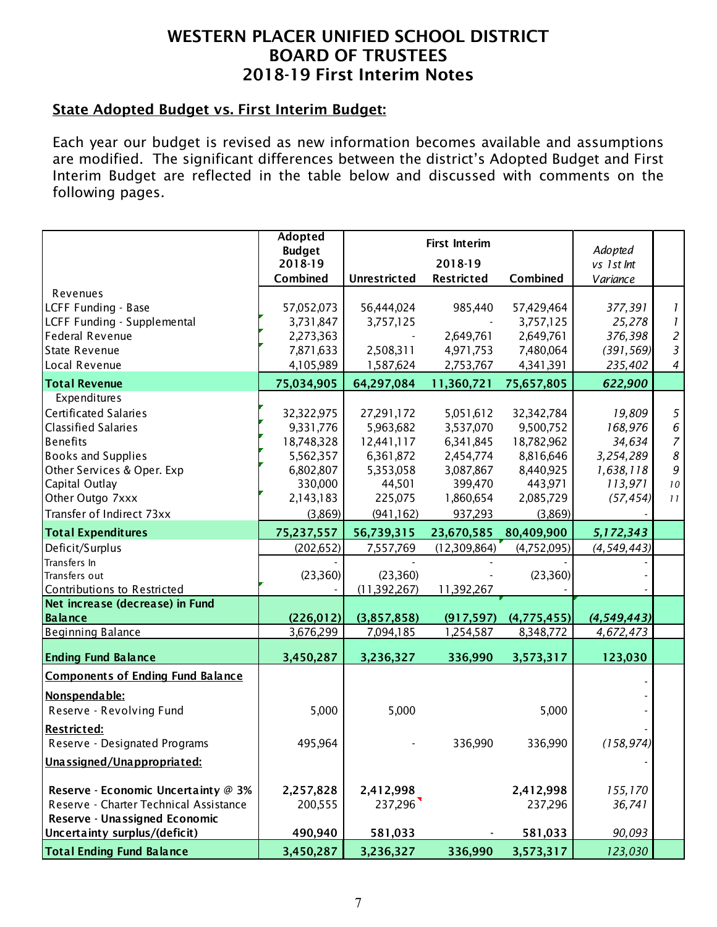### State Adopted Budget vs. First Interim Budget:

Each year our budget is revised as new information becomes available and assumptions are modified. The significant differences between the district's Adopted Budget and First Interim Budget are reflected in the table below and discussed with comments on the following pages.

|                                                                | Adopted<br><b>Budget</b><br>2018-19 |                          | Adopted<br>vs 1 st Int  |                            |                                       |                |
|----------------------------------------------------------------|-------------------------------------|--------------------------|-------------------------|----------------------------|---------------------------------------|----------------|
|                                                                | Combined                            | Unrestricted             | <b>Restricted</b>       | Combined                   | Variance                              |                |
| Revenues<br>LCFF Funding - Base<br>LCFF Funding - Supplemental | 57,052,073<br>3,731,847             | 56,444,024               | 985,440                 | 57,429,464<br>3,757,125    | 377,391<br>25,278                     | 1<br>1         |
| <b>Federal Revenue</b>                                         | 2,273,363                           | 3,757,125                | 2,649,761               | 2,649,761                  | 376,398                               | $\overline{c}$ |
| <b>State Revenue</b>                                           | 7,871,633                           | 2,508,311                | 4,971,753               | 7,480,064                  | (391, 569)                            | 3              |
| Local Revenue                                                  | 4,105,989                           | 1,587,624                | 2,753,767               | 4,341,391                  | 235,402                               | 4              |
| <b>Total Revenue</b>                                           | 75,034,905                          | 64,297,084               | 11,360,721              | 75,657,805                 | 622,900                               |                |
| Expenditures                                                   |                                     |                          |                         |                            |                                       |                |
| <b>Certificated Salaries</b>                                   | 32,322,975                          | 27,291,172               | 5,051,612               | 32,342,784                 | 19,809                                | 5              |
| <b>Classified Salaries</b>                                     | 9,331,776                           | 5,963,682                | 3,537,070               | 9,500,752                  | 168,976                               | $\epsilon$     |
| <b>Benefits</b>                                                | 18,748,328                          | 12,441,117               | 6,341,845               | 18,782,962                 | 34,634                                | $\overline{7}$ |
| <b>Books and Supplies</b>                                      | 5,562,357                           | 6,361,872                | 2,454,774               | 8,816,646                  | 3,254,289                             | 8              |
| Other Services & Oper. Exp                                     | 6,802,807                           | 5,353,058                | 3,087,867               | 8,440,925                  | 1,638,118                             | 9              |
| Capital Outlay                                                 | 330,000                             | 44,501                   | 399,470                 | 443,971                    | 113,971                               | $\it 10$       |
| Other Outgo 7xxx                                               | 2,143,183                           | 225,075                  | 1,860,654               | 2,085,729                  | (57, 454)                             | 11             |
| Transfer of Indirect 73xx                                      | (3,869)                             | (941, 162)               | 937,293                 | (3,869)                    |                                       |                |
| <b>Total Expenditures</b>                                      | 75,237,557                          | 56,739,315               | 23,670,585              | 80,409,900                 | 5,172,343                             |                |
| Deficit/Surplus                                                | (202, 652)                          | 7,557,769                | (12,309,864)            | (4,752,095)                | (4, 549, 443)                         |                |
| Transfers In                                                   |                                     |                          |                         |                            |                                       |                |
| Transfers out                                                  | (23,360)                            | (23,360)                 |                         | (23,360)                   |                                       |                |
| Contributions to Restricted                                    |                                     | (11, 392, 267)           | 11,392,267              |                            |                                       |                |
| Net increase (decrease) in Fund                                |                                     |                          |                         |                            |                                       |                |
| <b>Balance</b><br><b>Beginning Balance</b>                     | (226, 012)<br>3,676,299             | (3,857,858)<br>7,094,185 | (917, 597)<br>1,254,587 | (4, 775, 455)<br>8,348,772 | (4,549,443)<br>$\overline{4,672,473}$ |                |
|                                                                |                                     |                          |                         |                            |                                       |                |
| <b>Ending Fund Balance</b>                                     | 3,450,287                           | 3,236,327                | 336,990                 | 3,573,317                  | 123,030                               |                |
| <b>Components of Ending Fund Balance</b>                       |                                     |                          |                         |                            |                                       |                |
| Nonspendable:                                                  |                                     |                          |                         |                            |                                       |                |
| Reserve - Revolving Fund                                       | 5,000                               | 5,000                    |                         | 5,000                      |                                       |                |
| <u> Restricted:</u>                                            |                                     |                          |                         |                            |                                       |                |
| Reserve - Designated Programs                                  | 495,964                             |                          | 336,990                 | 336,990                    | (158, 974)                            |                |
| Unassigned/Unappropriated:                                     |                                     |                          |                         |                            |                                       |                |
|                                                                |                                     |                          |                         |                            |                                       |                |
| Reserve - Economic Uncertainty @ 3%                            | 2,257,828                           | 2,412,998                |                         | 2,412,998                  | 155,170                               |                |
| Reserve - Charter Technical Assistance                         | 200,555                             | 237,296                  |                         | 237,296                    | 36,741                                |                |
| Reserve - Unassigned Economic                                  |                                     |                          |                         |                            |                                       |                |
| Uncertainty surplus/(deficit)                                  | 490,940                             | 581,033                  |                         | 581,033                    | 90,093                                |                |
| <b>Total Ending Fund Balance</b>                               | 3,450,287                           | 3,236,327                | 336,990                 | 3,573,317                  | 123,030                               |                |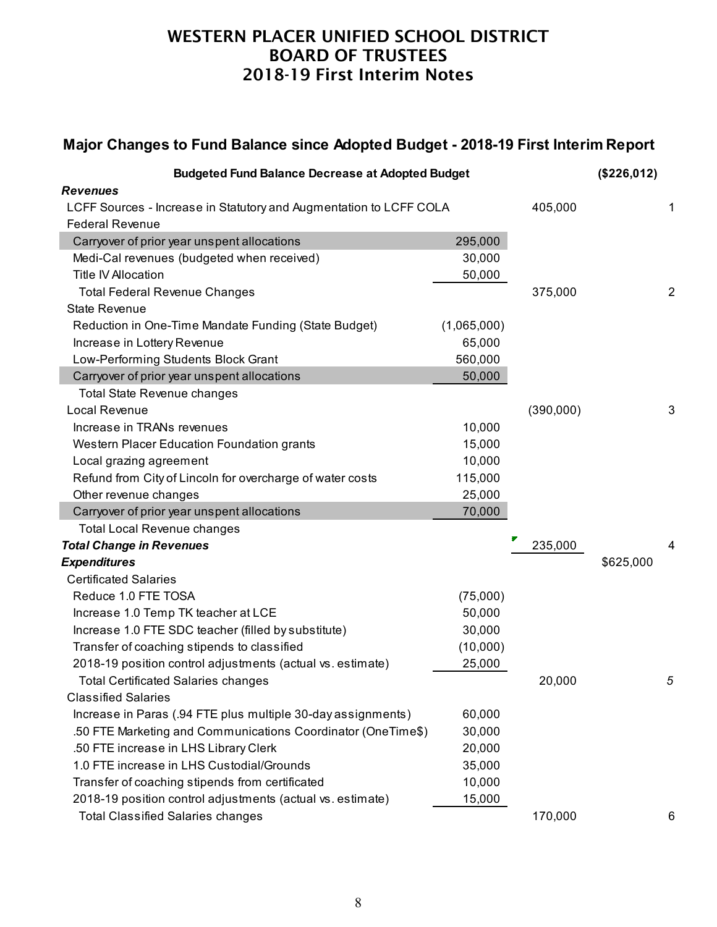# **Major Changes to Fund Balance since Adopted Budget - 2018-19 First Interim Report**

| <b>Budgeted Fund Balance Decrease at Adopted Budget</b>            |             |           | (\$226,012) |                |
|--------------------------------------------------------------------|-------------|-----------|-------------|----------------|
| <b>Revenues</b>                                                    |             |           |             |                |
| LCFF Sources - Increase in Statutory and Augmentation to LCFF COLA |             | 405,000   |             | 1              |
| <b>Federal Revenue</b>                                             |             |           |             |                |
| Carryover of prior year unspent allocations                        | 295,000     |           |             |                |
| Medi-Cal revenues (budgeted when received)                         | 30,000      |           |             |                |
| <b>Title IV Allocation</b>                                         | 50,000      |           |             |                |
| <b>Total Federal Revenue Changes</b>                               |             | 375,000   |             | $\overline{2}$ |
| <b>State Revenue</b>                                               |             |           |             |                |
| Reduction in One-Time Mandate Funding (State Budget)               | (1,065,000) |           |             |                |
| Increase in Lottery Revenue                                        | 65,000      |           |             |                |
| Low-Performing Students Block Grant                                | 560,000     |           |             |                |
| Carryover of prior year unspent allocations                        | 50,000      |           |             |                |
| <b>Total State Revenue changes</b>                                 |             |           |             |                |
| Local Revenue                                                      |             | (390,000) |             | 3              |
| Increase in TRANs revenues                                         | 10,000      |           |             |                |
| Western Placer Education Foundation grants                         | 15,000      |           |             |                |
| Local grazing agreement                                            | 10,000      |           |             |                |
| Refund from City of Lincoln for overcharge of water costs          | 115,000     |           |             |                |
| Other revenue changes                                              | 25,000      |           |             |                |
| Carryover of prior year unspent allocations                        | 70,000      |           |             |                |
| <b>Total Local Revenue changes</b>                                 |             |           |             |                |
| <b>Total Change in Revenues</b>                                    |             | 235,000   |             | 4              |
| <b>Expenditures</b>                                                |             |           | \$625,000   |                |
| <b>Certificated Salaries</b>                                       |             |           |             |                |
| Reduce 1.0 FTE TOSA                                                | (75,000)    |           |             |                |
| Increase 1.0 Temp TK teacher at LCE                                | 50,000      |           |             |                |
| Increase 1.0 FTE SDC teacher (filled by substitute)                | 30,000      |           |             |                |
| Transfer of coaching stipends to classified                        | (10,000)    |           |             |                |
| 2018-19 position control adjustments (actual vs. estimate)         | 25,000      |           |             |                |
| <b>Total Certificated Salaries changes</b>                         |             | 20,000    |             | 5              |
| <b>Classified Salaries</b>                                         |             |           |             |                |
| Increase in Paras (.94 FTE plus multiple 30-day assignments)       | 60,000      |           |             |                |
| .50 FTE Marketing and Communications Coordinator (OneTime\$)       | 30,000      |           |             |                |
| .50 FTE increase in LHS Library Clerk                              | 20,000      |           |             |                |
| 1.0 FTE increase in LHS Custodial/Grounds                          | 35,000      |           |             |                |
| Transfer of coaching stipends from certificated                    | 10,000      |           |             |                |
| 2018-19 position control adjustments (actual vs. estimate)         | 15,000      |           |             |                |
| <b>Total Classified Salaries changes</b>                           |             | 170,000   |             | 6              |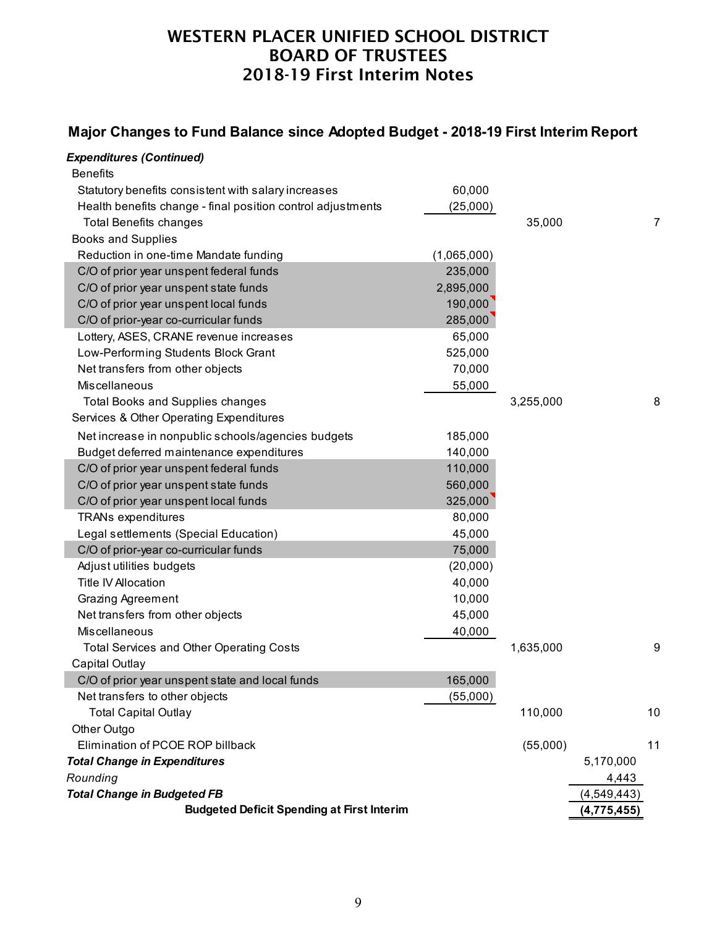### **Major Changes to Fund Balance since Adopted Budget - 2018-19 First Interim Report**

### *Expenditures (Continued)*

| <b>Budgeted Deficit Spending at First Interim</b>                              |                    |           | (4, 775, 455) |                |
|--------------------------------------------------------------------------------|--------------------|-----------|---------------|----------------|
| <b>Total Change in Budgeted FB</b>                                             |                    |           | (4, 549, 443) |                |
| Rounding                                                                       |                    |           | 4,443         |                |
| <b>Total Change in Expenditures</b>                                            |                    |           | 5,170,000     |                |
| Elimination of PCOE ROP billback                                               |                    | (55,000)  |               | 11             |
| Other Outgo                                                                    |                    |           |               |                |
| <b>Total Capital Outlay</b>                                                    |                    | 110,000   |               | 10             |
| Net transfers to other objects                                                 | (55,000)           |           |               |                |
| C/O of prior year unspent state and local funds                                | 165,000            |           |               |                |
| Capital Outlay                                                                 |                    |           |               |                |
| <b>Total Services and Other Operating Costs</b>                                |                    | 1,635,000 |               | 9              |
| Miscellaneous                                                                  | 40,000             |           |               |                |
| Net transfers from other objects                                               | 45,000             |           |               |                |
| <b>Grazing Agreement</b>                                                       | 10,000             |           |               |                |
| <b>Title IV Allocation</b>                                                     | 40,000             |           |               |                |
| Adjust utilities budgets                                                       | (20,000)           |           |               |                |
| C/O of prior-year co-curricular funds                                          | 75,000             |           |               |                |
| Legal settlements (Special Education)                                          | 45,000             |           |               |                |
| <b>TRANs expenditures</b>                                                      | 80,000             |           |               |                |
| C/O of prior year unspent local funds                                          | 325,000            |           |               |                |
| C/O of prior year unspent state funds                                          | 560,000            |           |               |                |
| C/O of prior year unspent federal funds                                        | 110,000            |           |               |                |
| Budget deferred maintenance expenditures                                       | 140,000            |           |               |                |
| Net increase in nonpublic schools/agencies budgets                             | 185,000            |           |               |                |
| Services & Other Operating Expenditures                                        |                    |           |               |                |
| <b>Total Books and Supplies changes</b>                                        |                    | 3,255,000 |               | 8              |
| Miscellaneous                                                                  | 55,000             |           |               |                |
| Net transfers from other objects                                               | 70,000             |           |               |                |
| Low-Performing Students Block Grant                                            | 525,000            |           |               |                |
| Lottery, ASES, CRANE revenue increases                                         | 65,000             |           |               |                |
| C/O of prior year unspent local funds<br>C/O of prior-year co-curricular funds | 190,000<br>285,000 |           |               |                |
| C/O of prior year unspent state funds                                          | 2,895,000          |           |               |                |
| C/O of prior year unspent federal funds                                        | 235,000            |           |               |                |
| Reduction in one-time Mandate funding                                          | (1,065,000)        |           |               |                |
| <b>Books and Supplies</b>                                                      |                    |           |               |                |
| <b>Total Benefits changes</b>                                                  |                    | 35,000    |               | $\overline{7}$ |
| Health benefits change - final position control adjustments                    | (25,000)           |           |               |                |
| Statutory benefits consistent with salary increases                            | 60,000             |           |               |                |
| <b>Benefits</b>                                                                |                    |           |               |                |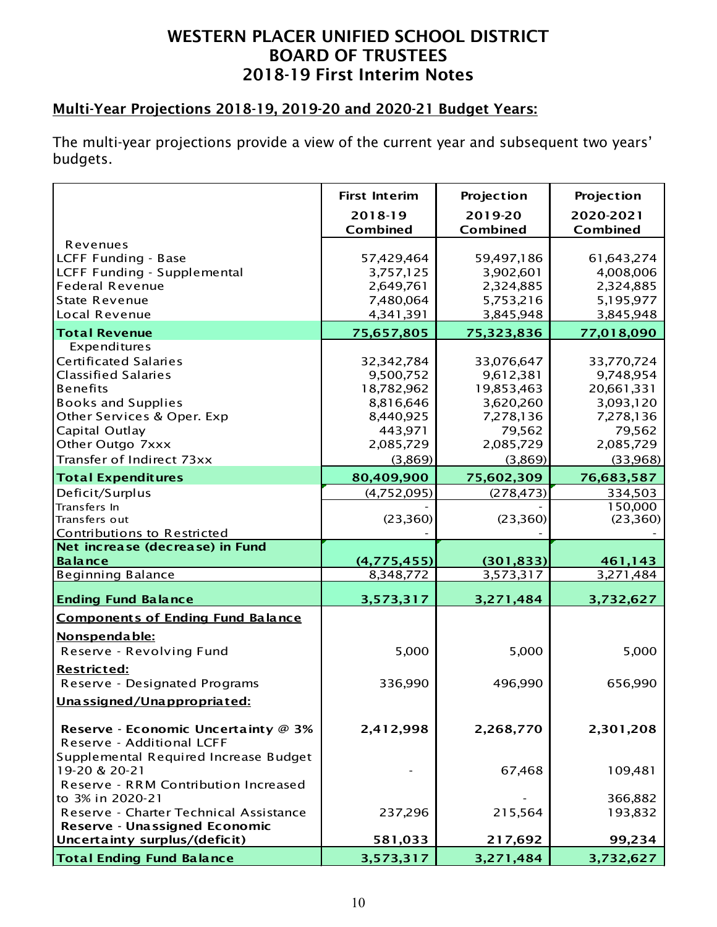# Multi-Year Projections 2018-19, 2019-20 and 2020-21 Budget Years:

The multi-year projections provide a view of the current year and subsequent two years' budgets.

|                                          | <b>First Interim</b> | Projection          | Projection            |
|------------------------------------------|----------------------|---------------------|-----------------------|
|                                          | 2018-19<br>Combined  | 2019-20<br>Combined | 2020-2021<br>Combined |
| Revenues                                 |                      |                     |                       |
| LCFF Funding - Base                      | 57,429,464           | 59,497,186          | 61,643,274            |
| LCFF Funding - Supplemental              | 3,757,125            | 3,902,601           | 4,008,006             |
| <b>Federal Revenue</b>                   | 2,649,761            | 2,324,885           | 2,324,885             |
| <b>State Revenue</b>                     | 7,480,064            | 5,753,216           | 5,195,977             |
| Local Revenue                            | 4,341,391            | 3,845,948           | 3,845,948             |
| <b>Total Revenue</b>                     | 75,657,805           | 75,323,836          | 77,018,090            |
| Expenditures                             |                      |                     |                       |
| <b>Certificated Salaries</b>             | 32,342,784           | 33,076,647          | 33,770,724            |
| <b>Classified Salaries</b>               | 9,500,752            | 9,612,381           | 9,748,954             |
| <b>Benefits</b>                          | 18,782,962           | 19,853,463          | 20,661,331            |
| <b>Books and Supplies</b>                | 8,816,646            | 3,620,260           | 3,093,120             |
| Other Services & Oper. Exp               | 8,440,925            | 7,278,136           | 7,278,136             |
| Capital Outlay                           | 443,971              | 79,562              | 79,562                |
| Other Outgo 7xxx                         | 2,085,729            | 2,085,729           | 2,085,729             |
| Transfer of Indirect 73xx                | (3,869)              | (3,869)             | (33,968)              |
| <b>Total Expenditures</b>                | 80,409,900           | 75,602,309          | 76,683,587            |
| Deficit/Surplus                          | (4,752,095)          | (278, 473)          | 334,503               |
| Transfers In                             |                      |                     | 150,000               |
| Transfers out                            | (23, 360)            | (23,360)            | (23,360)              |
| Contributions to Restricted              |                      |                     |                       |
| Net increase (decrease) in Fund          |                      |                     |                       |
| <b>Balance</b>                           | (4,775,455)          | (301, 833)          | 461,143               |
| <b>Beginning Balance</b>                 | 8,348,772            | 3,573,317           | 3, 271, 484           |
| <b>Ending Fund Balance</b>               | 3,573,317            | 3,271,484           | 3,732,627             |
| <b>Components of Ending Fund Balance</b> |                      |                     |                       |
| Nonspendable:                            |                      |                     |                       |
| Reserve - Revolving Fund                 | 5,000                | 5,000               | 5,000                 |
| <b>Restricted:</b>                       |                      |                     |                       |
| Reserve - Designated Programs            | 336,990              | 496,990             | 656,990               |
| Unassigned/Unappropriated:               |                      |                     |                       |
| Reserve - Economic Uncertainty @ 3%      | 2,412,998            | 2,268,770           | 2,301,208             |
| Reserve - Additional LCFF                |                      |                     |                       |
| Supplemental Required Increase Budget    |                      |                     |                       |
| 19-20 & 20-21                            |                      | 67,468              | 109,481               |
| Reserve - RRM Contribution Increased     |                      |                     |                       |
| to 3% in 2020-21                         |                      |                     | 366,882               |
| Reserve - Charter Technical Assistance   | 237,296              | 215,564             | 193,832               |
| Reserve - Unassigned Economic            |                      |                     |                       |
| Uncertainty surplus/(deficit)            | 581,033              | 217,692             | 99,234                |
| <b>Total Ending Fund Balance</b>         | 3,573,317            | 3,271,484           | 3,732,627             |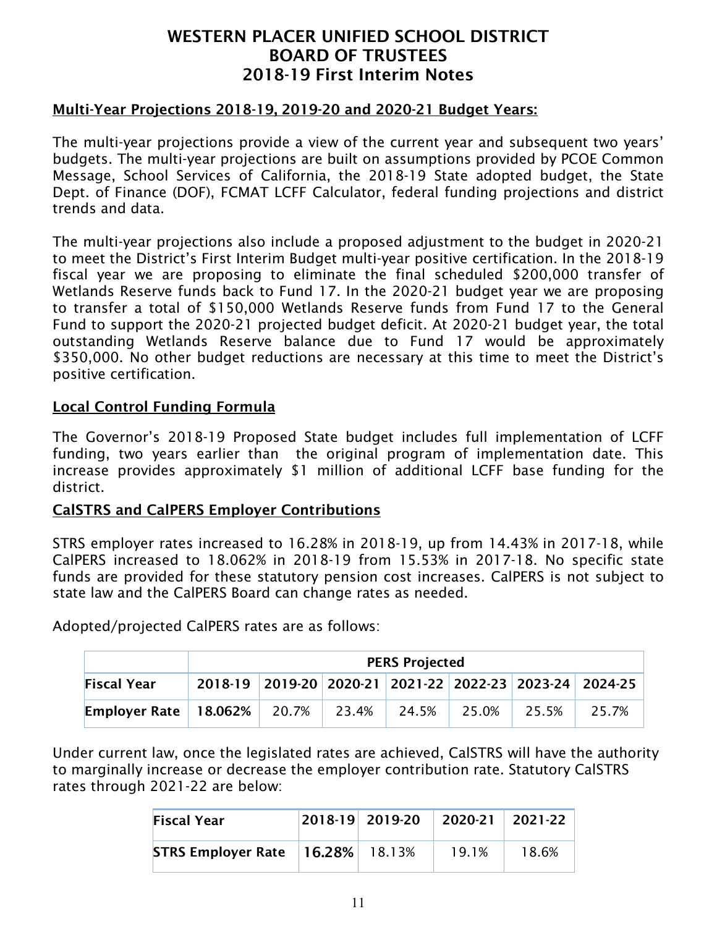#### Multi-Year Projections 2018-19, 2019-20 and 2020-21 Budget Years:

The multi-year projections provide a view of the current year and subsequent two years' budgets. The multi-year projections are built on assumptions provided by PCOE Common Message, School Services of California, the 2018-19 State adopted budget, the State Dept. of Finance (DOF), FCMAT LCFF Calculator, federal funding projections and district trends and data.

The multi-year projections also include a proposed adjustment to the budget in 2020-21 to meet the District's First Interim Budget multi-year positive certification. In the 2018-19 fiscal year we are proposing to eliminate the final scheduled \$200,000 transfer of Wetlands Reserve funds back to Fund 17. In the 2020-21 budget year we are proposing to transfer a total of \$150,000 Wetlands Reserve funds from Fund 17 to the General Fund to support the 2020-21 projected budget deficit. At 2020-21 budget year, the total outstanding Wetlands Reserve balance due to Fund 17 would be approximately \$350,000. No other budget reductions are necessary at this time to meet the District's positive certification.

#### Local Control Funding Formula

The Governor's 2018-19 Proposed State budget includes full implementation of LCFF funding, two years earlier than the original program of implementation date. This increase provides approximately \$1 million of additional LCFF base funding for the district.

#### CalSTRS and CalPERS Employer Contributions

STRS employer rates increased to 16.28% in 2018-19, up from 14.43% in 2017-18, while CalPERS increased to 18.062% in 2018-19 from 15.53% in 2017-18. No specific state funds are provided for these statutory pension cost increases. CalPERS is not subject to state law and the CalPERS Board can change rates as needed.

PERS Projected Fiscal Year 2018-19 2019-20 2020-21 2021-22 2022-23 2023-24 2024-25 Employer Rate 18.062% 20.7% 23.4% 24.5% 25.0% 25.5% 25.7%

Adopted/projected CalPERS rates are as follows:

Under current law, once the legislated rates are achieved, CalSTRS will have the authority to marginally increase or decrease the employer contribution rate. Statutory CalSTRS rates through 2021-22 are below:

| <b>Fiscal Year</b>        |           | 2018-19 2019-20 | 2020-21 | 2021-22 |
|---------------------------|-----------|-----------------|---------|---------|
| <b>STRS Employer Rate</b> | $16.28\%$ | 18.13%          | 19.1%   | 18.6%   |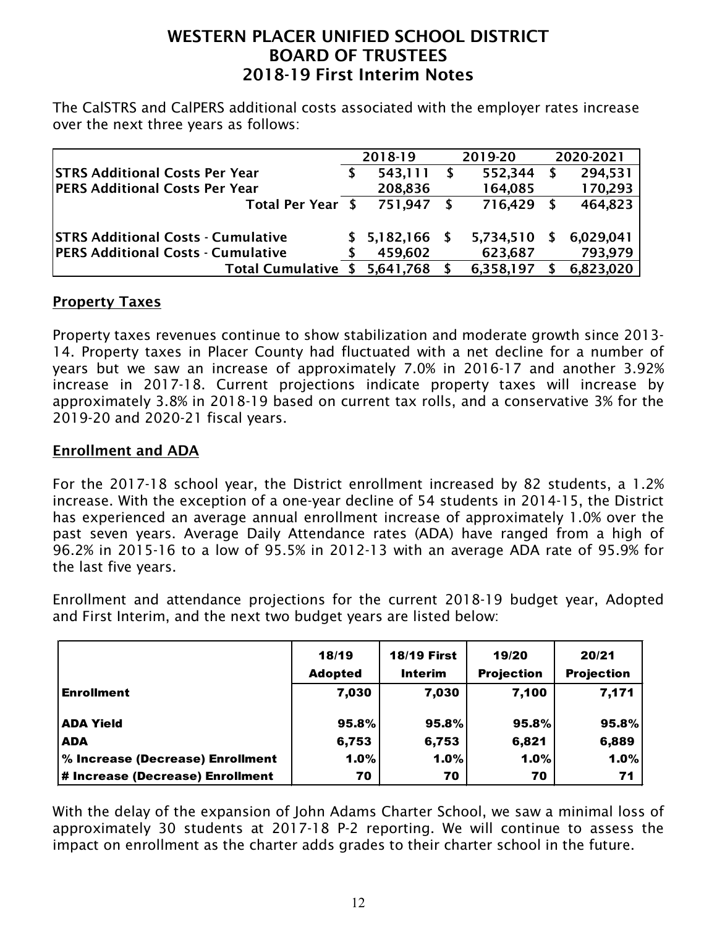The CalSTRS and CalPERS additional costs associated with the employer rates increase over the next three years as follows:

|                                           | 2018-19         |     | 2019-20   | 2020-2021 |           |
|-------------------------------------------|-----------------|-----|-----------|-----------|-----------|
| <b>STRS Additional Costs Per Year</b>     | 543,111         | - S | 552,344   |           | 294,531   |
| <b>PERS Additional Costs Per Year</b>     | 208,836         |     | 164,085   |           | 170,293   |
| Total Per Year \$                         | 751.947         |     | 716,429   |           | 464,823   |
|                                           |                 |     |           |           |           |
| <b>STRS Additional Costs - Cumulative</b> | $$5,182,166$ \, |     | 5,734,510 |           | 6,029,041 |
| <b>PERS Additional Costs - Cumulative</b> | 459,602         |     | 623,687   |           | 793,979   |
| <b>Total Cumulative</b>                   | 5,641,768       |     | 6,358,197 |           | 6,823,020 |

#### **Property Taxes**

Property taxes revenues continue to show stabilization and moderate growth since 2013- 14. Property taxes in Placer County had fluctuated with a net decline for a number of years but we saw an increase of approximately 7.0% in 2016-17 and another 3.92% increase in 2017-18. Current projections indicate property taxes will increase by approximately 3.8% in 2018-19 based on current tax rolls, and a conservative 3% for the 2019-20 and 2020-21 fiscal years.

#### Enrollment and ADA

For the 2017-18 school year, the District enrollment increased by 82 students, a 1.2% increase. With the exception of a one-year decline of 54 students in 2014-15, the District has experienced an average annual enrollment increase of approximately 1.0% over the past seven years. Average Daily Attendance rates (ADA) have ranged from a high of 96.2% in 2015-16 to a low of 95.5% in 2012-13 with an average ADA rate of 95.9% for the last five years.

Enrollment and attendance projections for the current 2018-19 budget year, Adopted and First Interim, and the next two budget years are listed below:

|                                  | 18/19          | <b>18/19 First</b> | 19/20             | 20/21             |
|----------------------------------|----------------|--------------------|-------------------|-------------------|
|                                  | <b>Adopted</b> | Interim            | <b>Projection</b> | <b>Projection</b> |
| <b>Enrollment</b>                | 7,030          | 7,030              | 7,100             | 7,171             |
| <b>ADA Yield</b>                 | 95.8%          | 95.8%              | 95.8%             | 95.8%             |
| <b>ADA</b>                       | 6,753          | 6,753              | 6,821             | 6,889             |
| % Increase (Decrease) Enrollment | 1.0%           | 1.0%               | 1.0%              | 1.0%              |
| # Increase (Decrease) Enrollment | 70             | 70                 | 70                | 71                |

With the delay of the expansion of John Adams Charter School, we saw a minimal loss of approximately 30 students at 2017-18 P-2 reporting. We will continue to assess the impact on enrollment as the charter adds grades to their charter school in the future.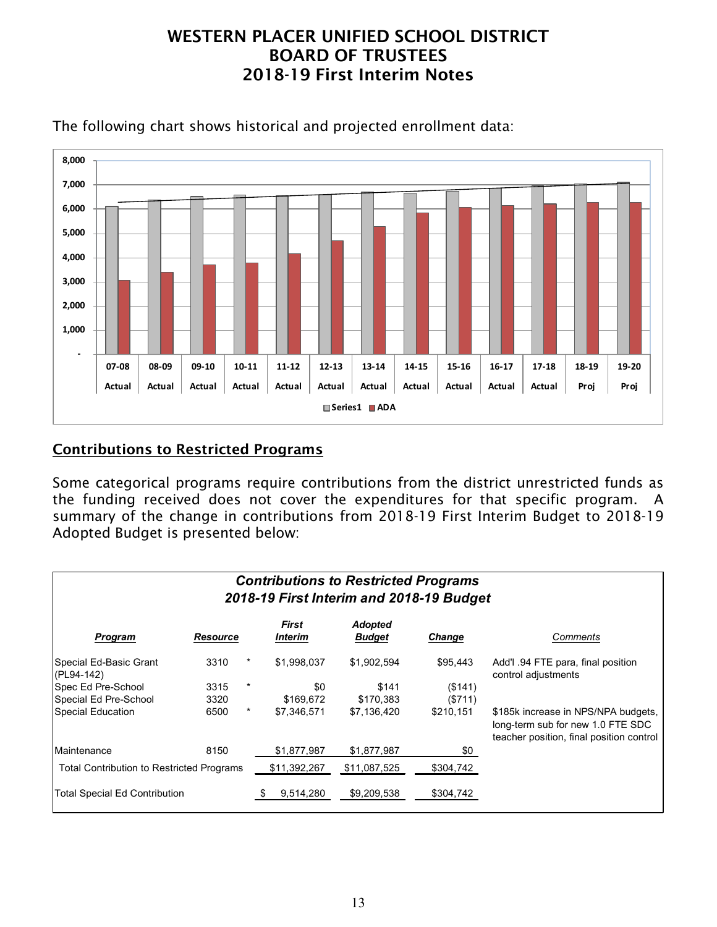

The following chart shows historical and projected enrollment data:

### Contributions to Restricted Programs

Some categorical programs require contributions from the district unrestricted funds as the funding received does not cover the expenditures for that specific program. A summary of the change in contributions from 2018-19 First Interim Budget to 2018-19 Adopted Budget is presented below:

| <b>Contributions to Restricted Programs</b><br>2018-19 First Interim and 2018-19 Budget |                 |          |                  |                                 |           |                                                                                                                      |  |  |
|-----------------------------------------------------------------------------------------|-----------------|----------|------------------|---------------------------------|-----------|----------------------------------------------------------------------------------------------------------------------|--|--|
| Program                                                                                 | <b>Resource</b> |          | First<br>Interim | <b>Adopted</b><br><b>Budget</b> | Change    | Comments                                                                                                             |  |  |
| Special Ed-Basic Grant<br>(PL94-142)                                                    | 3310            | $^\star$ | \$1,998,037      | \$1,902,594                     | \$95,443  | Add'l .94 FTE para, final position<br>control adjustments                                                            |  |  |
| Spec Ed Pre-School                                                                      | 3315            | $\ast$   | \$0              | \$141                           | ( \$141)  |                                                                                                                      |  |  |
| Special Ed Pre-School                                                                   | 3320            |          | \$169,672        | \$170,383                       | (\$711)   |                                                                                                                      |  |  |
| <b>Special Education</b>                                                                | 6500            | $\star$  | \$7,346,571      | \$7,136,420                     | \$210,151 | \$185k increase in NPS/NPA budgets,<br>long-term sub for new 1.0 FTE SDC<br>teacher position, final position control |  |  |
| Maintenance                                                                             | 8150            |          | \$1,877,987      | \$1,877,987                     | \$0       |                                                                                                                      |  |  |
| <b>Total Contribution to Restricted Programs</b>                                        |                 |          | \$11,392,267     | \$11,087,525                    | \$304,742 |                                                                                                                      |  |  |
| Total Special Ed Contribution                                                           |                 |          | 9,514,280        | \$9,209,538                     | \$304,742 |                                                                                                                      |  |  |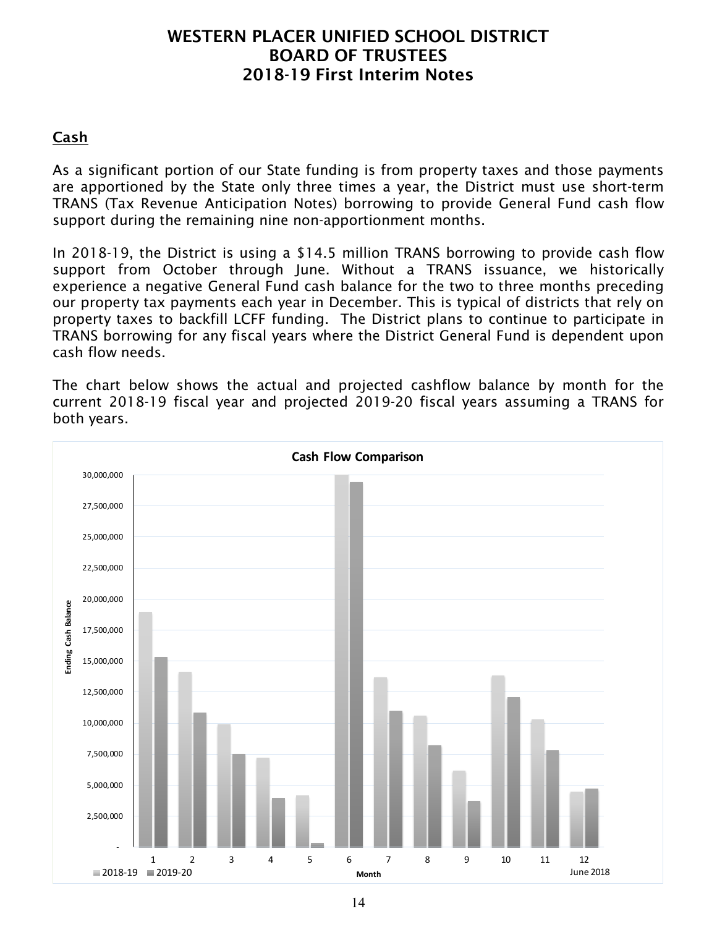### Cash

As a significant portion of our State funding is from property taxes and those payments are apportioned by the State only three times a year, the District must use short-term TRANS (Tax Revenue Anticipation Notes) borrowing to provide General Fund cash flow support during the remaining nine non-apportionment months.

In 2018-19, the District is using a \$14.5 million TRANS borrowing to provide cash flow support from October through June. Without a TRANS issuance, we historically experience a negative General Fund cash balance for the two to three months preceding our property tax payments each year in December. This is typical of districts that rely on property taxes to backfill LCFF funding. The District plans to continue to participate in TRANS borrowing for any fiscal years where the District General Fund is dependent upon cash flow needs.

The chart below shows the actual and projected cashflow balance by month for the current 2018-19 fiscal year and projected 2019-20 fiscal years assuming a TRANS for both years.